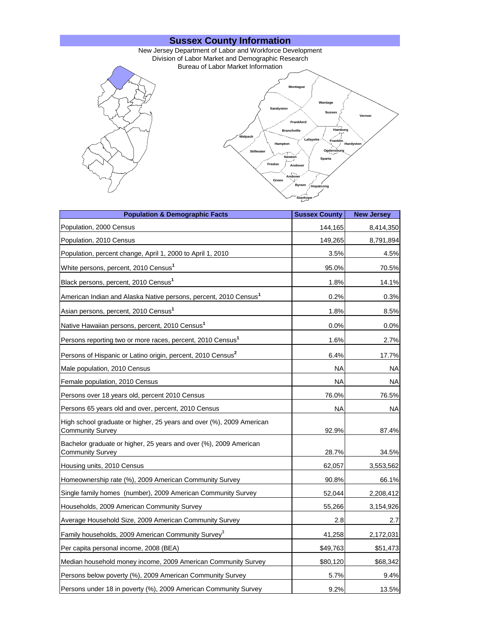

| <b>Population &amp; Demographic Facts</b>                                                       | <b>Sussex County</b> | <b>New Jersey</b> |
|-------------------------------------------------------------------------------------------------|----------------------|-------------------|
| Population, 2000 Census                                                                         | 144,165              | 8,414,350         |
| Population, 2010 Census                                                                         | 149,265              | 8,791,894         |
| Population, percent change, April 1, 2000 to April 1, 2010                                      | 3.5%                 | 4.5%              |
| White persons, percent, 2010 Census <sup>1</sup>                                                | 95.0%                | 70.5%             |
| Black persons, percent, 2010 Census <sup>1</sup>                                                | 1.8%                 | 14.1%             |
| American Indian and Alaska Native persons, percent, 2010 Census <sup>1</sup>                    | 0.2%                 | 0.3%              |
| Asian persons, percent, 2010 Census <sup>1</sup>                                                | 1.8%                 | 8.5%              |
| Native Hawaiian persons, percent, 2010 Census <sup>1</sup>                                      | 0.0%                 | $0.0\%$           |
| Persons reporting two or more races, percent, 2010 Census <sup>1</sup>                          | 1.6%                 | 2.7%              |
| Persons of Hispanic or Latino origin, percent, 2010 Census <sup>2</sup>                         | 6.4%                 | 17.7%             |
| Male population, 2010 Census                                                                    | ΝA                   | NA                |
| Female population, 2010 Census                                                                  | ΝA                   | NA                |
| Persons over 18 years old, percent 2010 Census                                                  | 76.0%                | 76.5%             |
| Persons 65 years old and over, percent, 2010 Census                                             | ΝA                   | <b>NA</b>         |
| High school graduate or higher, 25 years and over (%), 2009 American<br><b>Community Survey</b> | 92.9%                | 87.4%             |
| Bachelor graduate or higher, 25 years and over (%), 2009 American<br><b>Community Survey</b>    | 28.7%                | 34.5%             |
| Housing units, 2010 Census                                                                      | 62,057               | 3,553,562         |
| Homeownership rate (%), 2009 American Community Survey                                          | 90.8%                | 66.1%             |
| Single family homes (number), 2009 American Community Survey                                    | 52,044               | 2,208,412         |
| Households, 2009 American Community Survey                                                      | 55,266               | 3,154,926         |
| Average Household Size, 2009 American Community Survey                                          | 2.8                  | 2.7               |
| Family households, 2009 American Community Survey <sup>3</sup>                                  | 41,258               | 2,172,031         |
| Per capita personal income, 2008 (BEA)                                                          | \$49,763             | \$51,473          |
| Median household money income, 2009 American Community Survey                                   | \$80,120             | \$68,342          |
| Persons below poverty (%), 2009 American Community Survey                                       | 5.7%                 | 9.4%              |
| Persons under 18 in poverty (%), 2009 American Community Survey                                 | 9.2%                 | 13.5%             |